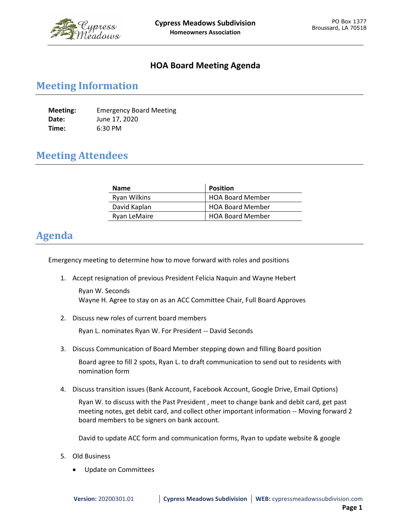

## **HOA Board Meeting Agenda**

## **Meeting Information**

| Meeting: | <b>Emergency Board Meeting</b> |
|----------|--------------------------------|
| Date:    | June 17, 2020                  |
| Time:    | 6:30 PM                        |

## **Meeting Attendees**

| <b>Name</b>         | <b>Position</b>         |
|---------------------|-------------------------|
| <b>Ryan Wilkins</b> | <b>HOA Board Member</b> |
| David Kaplan        | <b>HOA Board Member</b> |
| Ryan LeMaire        | <b>HOA Board Member</b> |

## **Agenda**

Emergency meeting to determine how to move forward with roles and positions

1. Accept resignation of previous President Felicia Naquin and Wayne Hebert

Ryan W. Seconds Wayne H. Agree to stay on as an ACC Committee Chair, Full Board Approves

2. Discuss new roles of current board members

Ryan L. nominates Ryan W. For President -- David Seconds

3. Discuss Communication of Board Member stepping down and filling Board position

Board agree to fill 2 spots, Ryan L. to draft communication to send out to residents with nomination form

4. Discuss transition issues (Bank Account, Facebook Account, Google Drive, Email Options)

Ryan W. to discuss with the Past President , meet to change bank and debit card, get past meeting notes, get debit card, and collect other important information -- Moving forward 2 board members to be signers on bank account.

David to update ACC form and communication forms, Ryan to update website & google

- 5. Old Business
	- Update on Committees